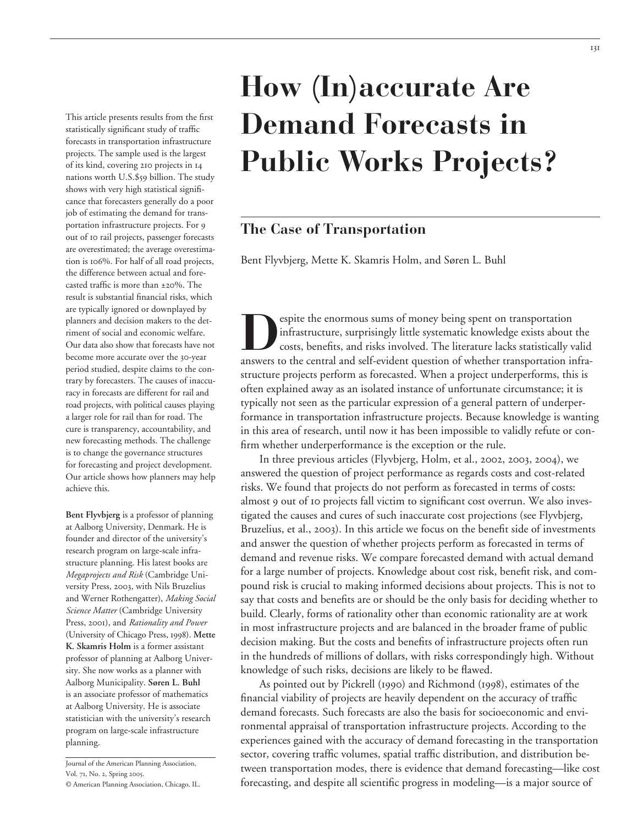This article presents results from the first statistically significant study of traffic forecasts in transportation infrastructure projects. The sample used is the largest of its kind, covering 210 projects in 14 nations worth U.S.\$59 billion. The study shows with very high statistical significance that forecasters generally do a poor job of estimating the demand for transportation infrastructure projects. For out of 10 rail projects, passenger forecasts are overestimated; the average overestimation is 106%. For half of all road projects, the difference between actual and forecasted traffic is more than  $\pm$ 20%. The result is substantial financial risks, which are typically ignored or downplayed by planners and decision makers to the detriment of social and economic welfare. Our data also show that forecasts have not become more accurate over the 30-year period studied, despite claims to the contrary by forecasters. The causes of inaccuracy in forecasts are different for rail and road projects, with political causes playing a larger role for rail than for road. The cure is transparency, accountability, and new forecasting methods. The challenge is to change the governance structures for forecasting and project development. Our article shows how planners may help achieve this.

**Bent Flyvbjerg** is a professor of planning at Aalborg University, Denmark. He is founder and director of the university's research program on large-scale infrastructure planning. His latest books are *Megaprojects and Risk* (Cambridge University Press, 2003, with Nils Bruzelius and Werner Rothengatter), *Making Social Science Matter* (Cambridge University Press, 2001), and *Rationality and Power* (University of Chicago Press, 1998). Mette **K. Skamris Holm** is a former assistant professor of planning at Aalborg University. She now works as a planner with Aalborg Municipality. **Søren L. Buhl** is an associate professor of mathematics at Aalborg University. He is associate statistician with the university's research program on large-scale infrastructure planning.

Journal of the American Planning Association, Vol. 71, No. 2, Spring 2005. © American Planning Association, Chicago, IL.

# **How (In)accurate Are Demand Forecasts in Public Works Projects?**

### **The Case of Transportation**

Bent Flyvbjerg, Mette K. Skamris Holm, and Søren L. Buhl

**Despite the enormous sums of money being spent on transportation**<br>infrastructure, surprisingly little systematic knowledge exists about<br>costs, benefits, and risks involved. The literature lacks statistically<br>answers to th infrastructure, surprisingly little systematic knowledge exists about the costs, benefits, and risks involved. The literature lacks statistically valid answers to the central and self-evident question of whether transportation infrastructure projects perform as forecasted. When a project underperforms, this is often explained away as an isolated instance of unfortunate circumstance; it is typically not seen as the particular expression of a general pattern of underperformance in transportation infrastructure projects. Because knowledge is wanting in this area of research, until now it has been impossible to validly refute or confirm whether underperformance is the exception or the rule.

In three previous articles (Flyvbjerg, Holm, et al., 2002, 2003, 2004), we answered the question of project performance as regards costs and cost-related risks. We found that projects do not perform as forecasted in terms of costs: almost 9 out of 10 projects fall victim to significant cost overrun. We also investigated the causes and cures of such inaccurate cost projections (see Flyvbjerg, Bruzelius, et al., 2003). In this article we focus on the benefit side of investments and answer the question of whether projects perform as forecasted in terms of demand and revenue risks. We compare forecasted demand with actual demand for a large number of projects. Knowledge about cost risk, benefit risk, and compound risk is crucial to making informed decisions about projects. This is not to say that costs and benefits are or should be the only basis for deciding whether to build. Clearly, forms of rationality other than economic rationality are at work in most infrastructure projects and are balanced in the broader frame of public decision making. But the costs and benefits of infrastructure projects often run in the hundreds of millions of dollars, with risks correspondingly high. Without knowledge of such risks, decisions are likely to be flawed.

As pointed out by Pickrell (1990) and Richmond (1998), estimates of the financial viability of projects are heavily dependent on the accuracy of traffic demand forecasts. Such forecasts are also the basis for socioeconomic and environmental appraisal of transportation infrastructure projects. According to the experiences gained with the accuracy of demand forecasting in the transportation sector, covering traffic volumes, spatial traffic distribution, and distribution between transportation modes, there is evidence that demand forecasting—like cost forecasting, and despite all scientific progress in modeling—is a major source of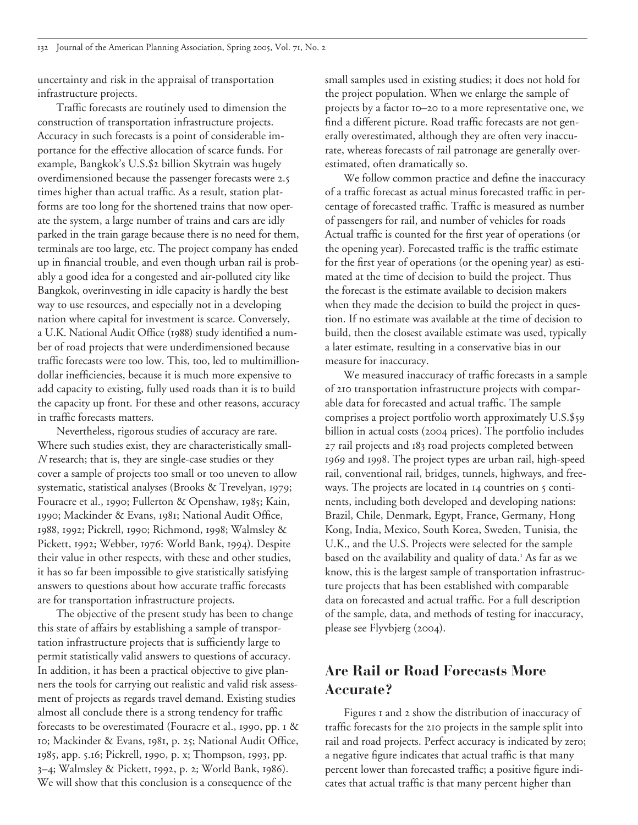uncertainty and risk in the appraisal of transportation infrastructure projects.

Traffic forecasts are routinely used to dimension the construction of transportation infrastructure projects. Accuracy in such forecasts is a point of considerable importance for the effective allocation of scarce funds. For example, Bangkok's U.S.\$2 billion Skytrain was hugely overdimensioned because the passenger forecasts were 2.5 times higher than actual traffic. As a result, station platforms are too long for the shortened trains that now operate the system, a large number of trains and cars are idly parked in the train garage because there is no need for them, terminals are too large, etc. The project company has ended up in financial trouble, and even though urban rail is probably a good idea for a congested and air-polluted city like Bangkok, overinvesting in idle capacity is hardly the best way to use resources, and especially not in a developing nation where capital for investment is scarce. Conversely, a U.K. National Audit Office (1988) study identified a number of road projects that were underdimensioned because traffic forecasts were too low. This, too, led to multimilliondollar inefficiencies, because it is much more expensive to add capacity to existing, fully used roads than it is to build the capacity up front. For these and other reasons, accuracy in traffic forecasts matters.

Nevertheless, rigorous studies of accuracy are rare. Where such studies exist, they are characteristically small-*N* research; that is, they are single-case studies or they cover a sample of projects too small or too uneven to allow systematic, statistical analyses (Brooks & Trevelyan, 1979; Fouracre et al., 1990; Fullerton & Openshaw, 1985; Kain, 1990; Mackinder & Evans, 1981; National Audit Office, 1988, 1992; Pickrell, 1990; Richmond, 1998; Walmsley & Pickett, 1992; Webber, 1976: World Bank, 1994). Despite their value in other respects, with these and other studies, it has so far been impossible to give statistically satisfying answers to questions about how accurate traffic forecasts are for transportation infrastructure projects.

The objective of the present study has been to change this state of affairs by establishing a sample of transportation infrastructure projects that is sufficiently large to permit statistically valid answers to questions of accuracy. In addition, it has been a practical objective to give planners the tools for carrying out realistic and valid risk assessment of projects as regards travel demand. Existing studies almost all conclude there is a strong tendency for traffic forecasts to be overestimated (Fouracre et al., 1990, pp.  $1 \&$ 10; Mackinder & Evans, 1981, p. 25; National Audit Office, 1985, app. 5.16; Pickrell, 1990, p. x; Thompson, 1993, pp. 3-4; Walmsley & Pickett, 1992, p. 2; World Bank, 1986). We will show that this conclusion is a consequence of the

small samples used in existing studies; it does not hold for the project population. When we enlarge the sample of projects by a factor 10–20 to a more representative one, we find a different picture. Road traffic forecasts are not generally overestimated, although they are often very inaccurate, whereas forecasts of rail patronage are generally overestimated, often dramatically so.

We follow common practice and define the inaccuracy of a traffic forecast as actual minus forecasted traffic in percentage of forecasted traffic. Traffic is measured as number of passengers for rail, and number of vehicles for roads Actual traffic is counted for the first year of operations (or the opening year). Forecasted traffic is the traffic estimate for the first year of operations (or the opening year) as estimated at the time of decision to build the project. Thus the forecast is the estimate available to decision makers when they made the decision to build the project in question. If no estimate was available at the time of decision to build, then the closest available estimate was used, typically a later estimate, resulting in a conservative bias in our measure for inaccuracy.

We measured inaccuracy of traffic forecasts in a sample of 210 transportation infrastructure projects with comparable data for forecasted and actual traffic. The sample comprises a project portfolio worth approximately U.S.\$ billion in actual costs (2004 prices). The portfolio includes 27 rail projects and 183 road projects completed between 1969 and 1998. The project types are urban rail, high-speed rail, conventional rail, bridges, tunnels, highways, and freeways. The projects are located in 14 countries on 5 continents, including both developed and developing nations: Brazil, Chile, Denmark, Egypt, France, Germany, Hong Kong, India, Mexico, South Korea, Sweden, Tunisia, the U.K., and the U.S. Projects were selected for the sample based on the availability and quality of data.<sup>1</sup> As far as we know, this is the largest sample of transportation infrastructure projects that has been established with comparable data on forecasted and actual traffic. For a full description of the sample, data, and methods of testing for inaccuracy, please see Flyvbjerg (2004).

### **Are Rail or Road Forecasts More Accurate?**

Figures I and 2 show the distribution of inaccuracy of traffic forecasts for the 210 projects in the sample split into rail and road projects. Perfect accuracy is indicated by zero; a negative figure indicates that actual traffic is that many percent lower than forecasted traffic; a positive figure indicates that actual traffic is that many percent higher than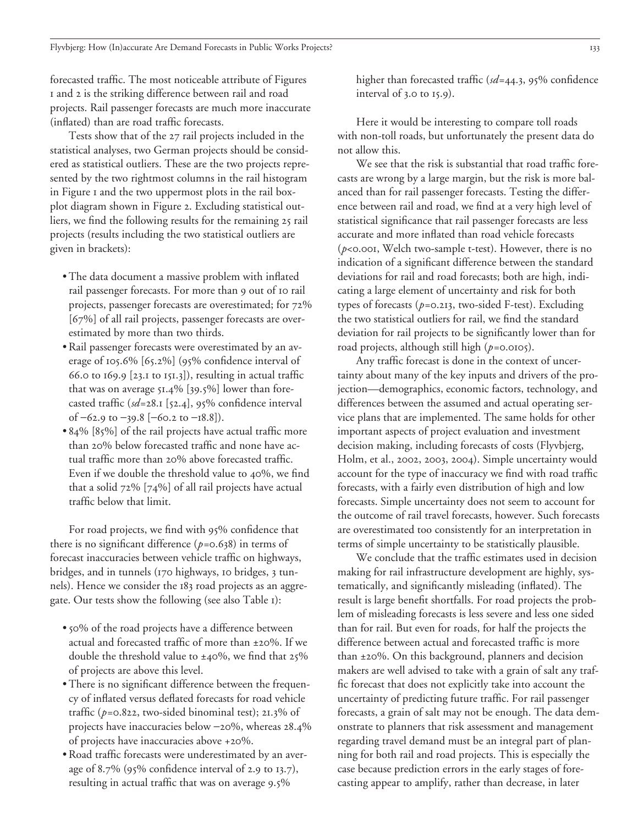forecasted traffic. The most noticeable attribute of Figures I and 2 is the striking difference between rail and road projects. Rail passenger forecasts are much more inaccurate (inflated) than are road traffic forecasts.

Tests show that of the  $27$  rail projects included in the statistical analyses, two German projects should be considered as statistical outliers. These are the two projects represented by the two rightmost columns in the rail histogram in Figure I and the two uppermost plots in the rail boxplot diagram shown in Figure 2. Excluding statistical outliers, we find the following results for the remaining 25 rail projects (results including the two statistical outliers are given in brackets):

- The data document a massive problem with inflated rail passenger forecasts. For more than 9 out of 10 rail projects, passenger forecasts are overestimated; for  $72\%$  $[67\%]$  of all rail projects, passenger forecasts are overestimated by more than two thirds.
- •Rail passenger forecasts were overestimated by an average of 105.6%  $[65.2\%]$  (95% confidence interval of  $66.$ o to  $169.9$  [23.1 to 151.3]), resulting in actual traffic that was on average  $51.4\%$  [39.5%] lower than forecasted traffic  $(sd=28.1 [52.4], 95\%$  confidence interval of  $-62.9$  to  $-39.8$   $[-60.2$  to  $-18.8]$ ).
- $\bullet$  84% [85%] of the rail projects have actual traffic more than 20% below forecasted traffic and none have actual traffic more than 20% above forecasted traffic. Even if we double the threshold value to  $40\%$ , we find that a solid  $72\%$  [74%] of all rail projects have actual traffic below that limit.

For road projects, we find with  $95\%$  confidence that there is no significant difference  $(p=0.638)$  in terms of forecast inaccuracies between vehicle traffic on highways, bridges, and in tunnels (170 highways, 10 bridges, 3 tunnels). Hence we consider the 183 road projects as an aggregate. Our tests show the following (see also Table ):

- 50% of the road projects have a difference between actual and forecasted traffic of more than ±20%. If we double the threshold value to  $\pm$ 40%, we find that 25% of projects are above this level.
- There is no significant difference between the frequency of inflated versus deflated forecasts for road vehicle traffic ( $p = 0.822$ , two-sided binominal test); 21.3% of projects have inaccuracies below −20%, whereas 28.4% of projects have inaccuracies above +20%.
- Road traffic forecasts were underestimated by an average of 8.7% (95% confidence interval of 2.9 to 13.7), resulting in actual traffic that was on average  $9.5\%$

higher than forecasted traffic (sd=44.3, 95% confidence interval of  $3.0$  to  $15.9$ ).

Here it would be interesting to compare toll roads with non-toll roads, but unfortunately the present data do not allow this.

We see that the risk is substantial that road traffic forecasts are wrong by a large margin, but the risk is more balanced than for rail passenger forecasts. Testing the difference between rail and road, we find at a very high level of statistical significance that rail passenger forecasts are less accurate and more inflated than road vehicle forecasts ( $p$ <0.001, Welch two-sample t-test). However, there is no indication of a significant difference between the standard deviations for rail and road forecasts; both are high, indicating a large element of uncertainty and risk for both types of forecasts  $(p=0.213, \text{ two-sided F-test})$ . Excluding the two statistical outliers for rail, we find the standard deviation for rail projects to be significantly lower than for road projects, although still high  $(p=0.0105)$ .

Any traffic forecast is done in the context of uncertainty about many of the key inputs and drivers of the projection—demographics, economic factors, technology, and differences between the assumed and actual operating service plans that are implemented. The same holds for other important aspects of project evaluation and investment decision making, including forecasts of costs (Flyvbjerg, Holm, et al., 2002, 2003, 2004). Simple uncertainty would account for the type of inaccuracy we find with road traffic forecasts, with a fairly even distribution of high and low forecasts. Simple uncertainty does not seem to account for the outcome of rail travel forecasts, however. Such forecasts are overestimated too consistently for an interpretation in terms of simple uncertainty to be statistically plausible.

We conclude that the traffic estimates used in decision making for rail infrastructure development are highly, systematically, and significantly misleading (inflated). The result is large benefit shortfalls. For road projects the problem of misleading forecasts is less severe and less one sided than for rail. But even for roads, for half the projects the difference between actual and forecasted traffic is more than  $\pm$ 20%. On this background, planners and decision makers are well advised to take with a grain of salt any traffic forecast that does not explicitly take into account the uncertainty of predicting future traffic. For rail passenger forecasts, a grain of salt may not be enough. The data demonstrate to planners that risk assessment and management regarding travel demand must be an integral part of planning for both rail and road projects. This is especially the case because prediction errors in the early stages of forecasting appear to amplify, rather than decrease, in later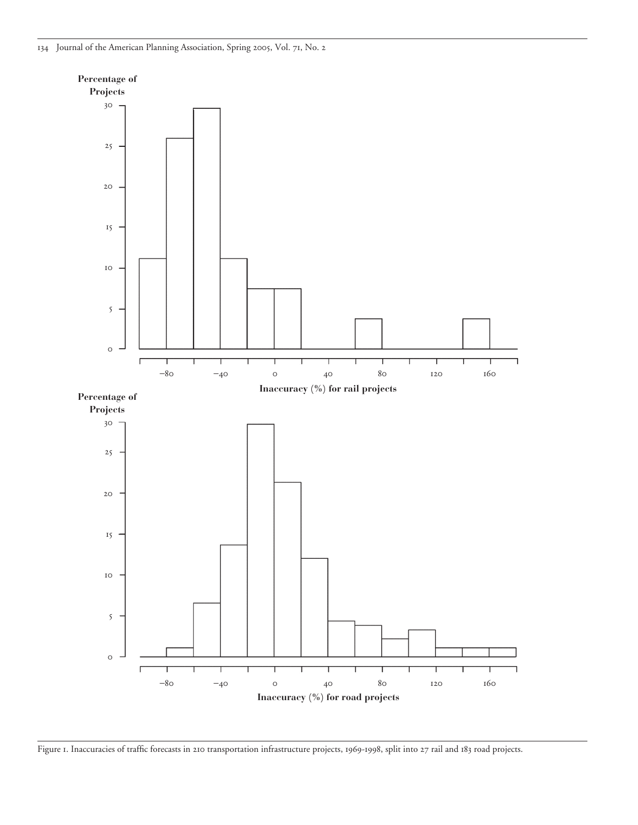

Figure 1. Inaccuracies of traffic forecasts in 210 transportation infrastructure projects, 1969-1998, split into 27 rail and 183 road projects.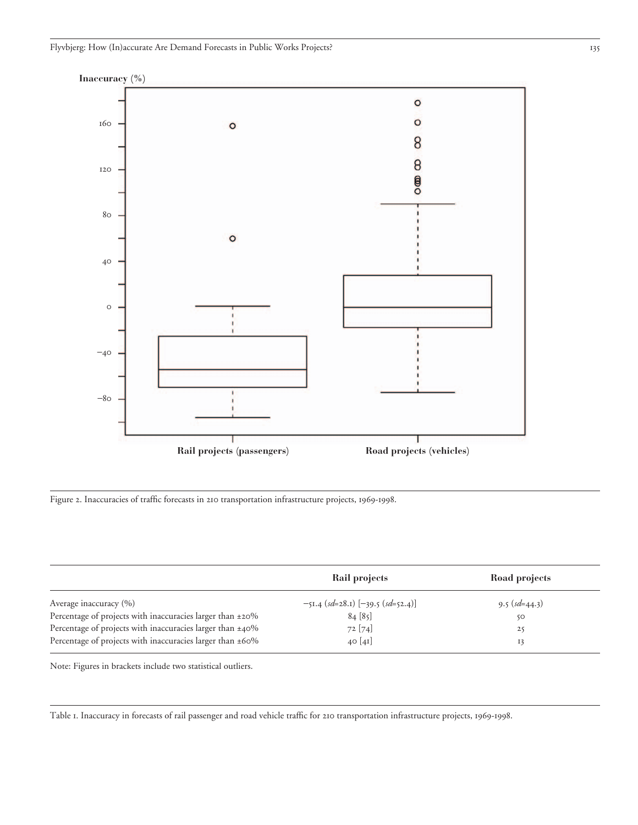

Figure 2. Inaccuracies of traffic forecasts in 210 transportation infrastructure projects, 1969-1998.

|                                                           | Rail projects                         | Road projects   |
|-----------------------------------------------------------|---------------------------------------|-----------------|
| Average inaccuracy (%)                                    | $-5I.4$ (sd=28.1) $[-39.5$ (sd=52.4)] | 9.5 $(sd=44.3)$ |
| Percentage of projects with inaccuracies larger than ±20% | $84^{85}$                             | 50              |
| Percentage of projects with inaccuracies larger than ±40% | 72 [74]                               | 25              |
| Percentage of projects with inaccuracies larger than ±60% | 40 [41]                               | 13              |

Note: Figures in brackets include two statistical outliers.

Table I. Inaccuracy in forecasts of rail passenger and road vehicle traffic for 210 transportation infrastructure projects, 1969-1998.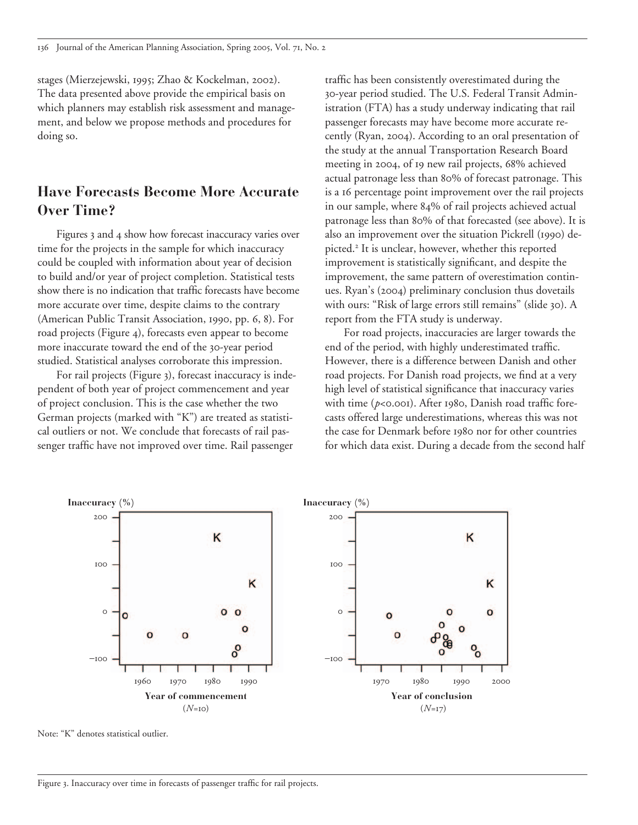stages (Mierzejewski, 1995; Zhao & Kockelman, 2002). The data presented above provide the empirical basis on which planners may establish risk assessment and management, and below we propose methods and procedures for doing so.

### **Have Forecasts Become More Accurate Over Time?**

Figures 3 and 4 show how forecast inaccuracy varies over time for the projects in the sample for which inaccuracy could be coupled with information about year of decision to build and/or year of project completion. Statistical tests show there is no indication that traffic forecasts have become more accurate over time, despite claims to the contrary (American Public Transit Association, 1990, pp.  $6, 8$ ). For road projects (Figure 4), forecasts even appear to become more inaccurate toward the end of the 30-year period studied. Statistical analyses corroborate this impression.

For rail projects (Figure 3), forecast inaccuracy is independent of both year of project commencement and year of project conclusion. This is the case whether the two German projects (marked with "K") are treated as statistical outliers or not. We conclude that forecasts of rail passenger traffic have not improved over time. Rail passenger

traffic has been consistently overestimated during the -year period studied. The U.S. Federal Transit Administration (FTA) has a study underway indicating that rail passenger forecasts may have become more accurate recently (Ryan, 2004). According to an oral presentation of the study at the annual Transportation Research Board meeting in 2004, of 19 new rail projects, 68% achieved actual patronage less than 80% of forecast patronage. This is a 16 percentage point improvement over the rail projects in our sample, where 84% of rail projects achieved actual patronage less than 80% of that forecasted (see above). It is also an improvement over the situation Pickrell (1990) depicted.<sup>2</sup> It is unclear, however, whether this reported improvement is statistically significant, and despite the improvement, the same pattern of overestimation continues. Ryan's (2004) preliminary conclusion thus dovetails with ours: "Risk of large errors still remains" (slide 30). A report from the FTA study is underway.

For road projects, inaccuracies are larger towards the end of the period, with highly underestimated traffic. However, there is a difference between Danish and other road projects. For Danish road projects, we find at a very high level of statistical significance that inaccuracy varies with time ( $p$ <0.001). After 1980, Danish road traffic forecasts offered large underestimations, whereas this was not the case for Denmark before 1980 nor for other countries for which data exist. During a decade from the second half



Note: "K" denotes statistical outlier.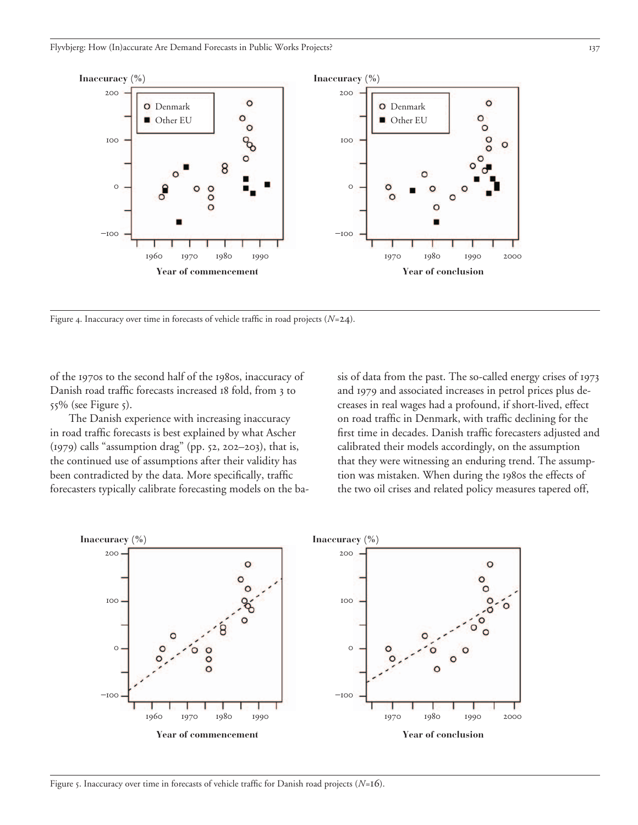

Figure 4. Inaccuracy over time in forecasts of vehicle traffic in road projects (*N*=24).

of the 1970s to the second half of the 1980s, inaccuracy of Danish road traffic forecasts increased 18 fold, from 3 to  $55\%$  (see Figure 5).

The Danish experience with increasing inaccuracy in road traffic forecasts is best explained by what Ascher  $(1979)$  calls "assumption drag" (pp. 52, 202-203), that is, the continued use of assumptions after their validity has been contradicted by the data. More specifically, traffic forecasters typically calibrate forecasting models on the ba-

sis of data from the past. The so-called energy crises of 1973 and 1979 and associated increases in petrol prices plus decreases in real wages had a profound, if short-lived, effect on road traffic in Denmark, with traffic declining for the first time in decades. Danish traffic forecasters adjusted and calibrated their models accordingly, on the assumption that they were witnessing an enduring trend. The assumption was mistaken. When during the 1980s the effects of the two oil crises and related policy measures tapered off,

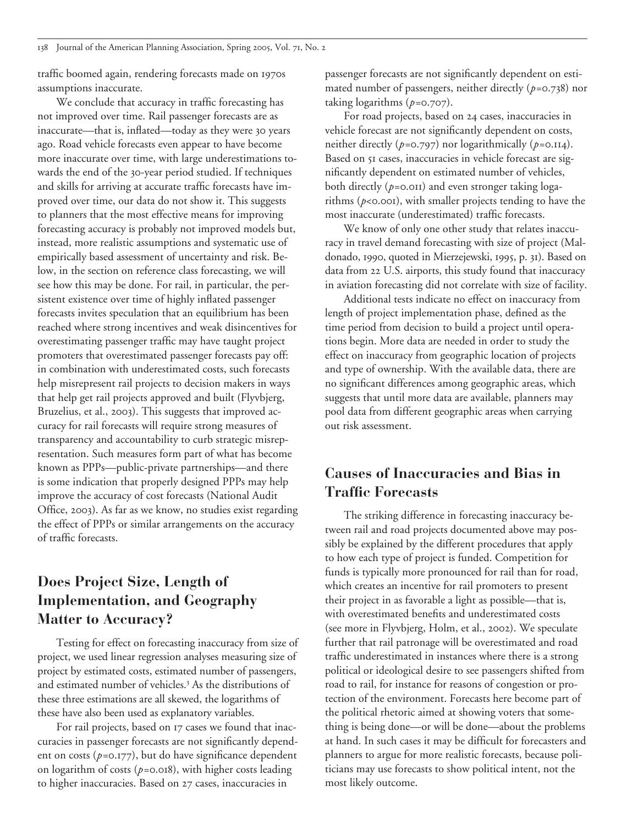traffic boomed again, rendering forecasts made on 1970s assumptions inaccurate.

We conclude that accuracy in traffic forecasting has not improved over time. Rail passenger forecasts are as inaccurate—that is, inflated—today as they were 30 years ago. Road vehicle forecasts even appear to have become more inaccurate over time, with large underestimations towards the end of the 30-year period studied. If techniques and skills for arriving at accurate traffic forecasts have improved over time, our data do not show it. This suggests to planners that the most effective means for improving forecasting accuracy is probably not improved models but, instead, more realistic assumptions and systematic use of empirically based assessment of uncertainty and risk. Below, in the section on reference class forecasting, we will see how this may be done. For rail, in particular, the persistent existence over time of highly inflated passenger forecasts invites speculation that an equilibrium has been reached where strong incentives and weak disincentives for overestimating passenger traffic may have taught project promoters that overestimated passenger forecasts pay off: in combination with underestimated costs, such forecasts help misrepresent rail projects to decision makers in ways that help get rail projects approved and built (Flyvbjerg, Bruzelius, et al., 2003). This suggests that improved accuracy for rail forecasts will require strong measures of transparency and accountability to curb strategic misrepresentation. Such measures form part of what has become known as PPPs—public-private partnerships—and there is some indication that properly designed PPPs may help improve the accuracy of cost forecasts (National Audit Office, 2003). As far as we know, no studies exist regarding the effect of PPPs or similar arrangements on the accuracy of traffic forecasts.

## **Does Project Size, Length of Implementation, and Geography Matter to Accuracy?**

Testing for effect on forecasting inaccuracy from size of project, we used linear regression analyses measuring size of project by estimated costs, estimated number of passengers, and estimated number of vehicles.<sup>3</sup> As the distributions of these three estimations are all skewed, the logarithms of these have also been used as explanatory variables.

For rail projects, based on 17 cases we found that inaccuracies in passenger forecasts are not significantly dependent on costs  $(p=0.177)$ , but do have significance dependent on logarithm of costs  $(p=0.018)$ , with higher costs leading to higher inaccuracies. Based on 27 cases, inaccuracies in

passenger forecasts are not significantly dependent on estimated number of passengers, neither directly  $(p=0.738)$  nor taking logarithms  $(p=0.707)$ .

For road projects, based on 24 cases, inaccuracies in vehicle forecast are not significantly dependent on costs, neither directly ( $p=0.797$ ) nor logarithmically ( $p=0.114$ ). Based on 51 cases, inaccuracies in vehicle forecast are significantly dependent on estimated number of vehicles, both directly ( $p = 0.011$ ) and even stronger taking logarithms ( $p$ < $0.001$ ), with smaller projects tending to have the most inaccurate (underestimated) traffic forecasts.

We know of only one other study that relates inaccuracy in travel demand forecasting with size of project (Maldonado, 1990, quoted in Mierzejewski, 1995, p. 31). Based on data from 22 U.S. airports, this study found that inaccuracy in aviation forecasting did not correlate with size of facility.

Additional tests indicate no effect on inaccuracy from length of project implementation phase, defined as the time period from decision to build a project until operations begin. More data are needed in order to study the effect on inaccuracy from geographic location of projects and type of ownership. With the available data, there are no significant differences among geographic areas, which suggests that until more data are available, planners may pool data from different geographic areas when carrying out risk assessment.

## **Causes of Inaccuracies and Bias in Traffic Forecasts**

The striking difference in forecasting inaccuracy between rail and road projects documented above may possibly be explained by the different procedures that apply to how each type of project is funded. Competition for funds is typically more pronounced for rail than for road, which creates an incentive for rail promoters to present their project in as favorable a light as possible—that is, with overestimated benefits and underestimated costs (see more in Flyvbjerg, Holm, et al., 2002). We speculate further that rail patronage will be overestimated and road traffic underestimated in instances where there is a strong political or ideological desire to see passengers shifted from road to rail, for instance for reasons of congestion or protection of the environment. Forecasts here become part of the political rhetoric aimed at showing voters that something is being done—or will be done—about the problems at hand. In such cases it may be difficult for forecasters and planners to argue for more realistic forecasts, because politicians may use forecasts to show political intent, not the most likely outcome.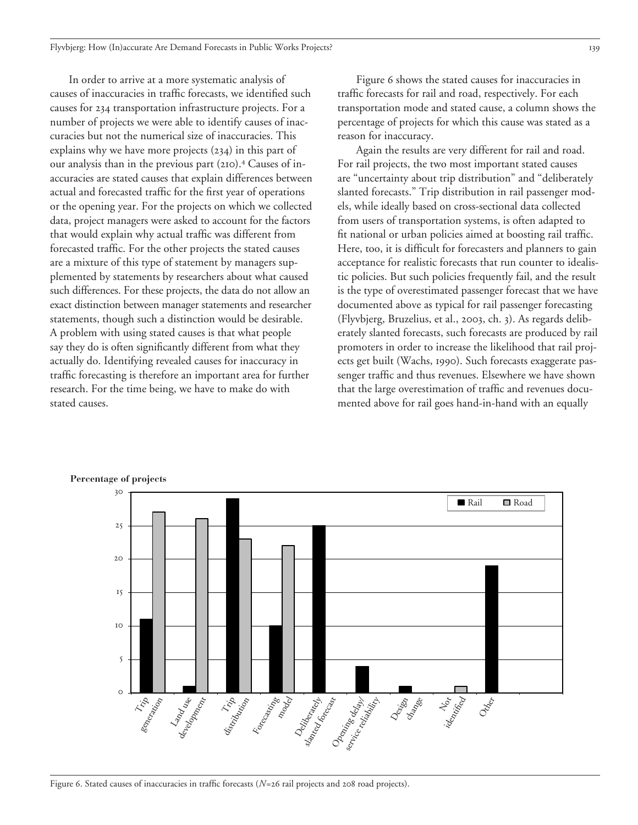In order to arrive at a more systematic analysis of causes of inaccuracies in traffic forecasts, we identified such causes for 234 transportation infrastructure projects. For a number of projects we were able to identify causes of inaccuracies but not the numerical size of inaccuracies. This explains why we have more projects  $(234)$  in this part of our analysis than in the previous part  $(210).4$  Causes of inaccuracies are stated causes that explain differences between actual and forecasted traffic for the first year of operations or the opening year. For the projects on which we collected data, project managers were asked to account for the factors that would explain why actual traffic was different from forecasted traffic. For the other projects the stated causes are a mixture of this type of statement by managers supplemented by statements by researchers about what caused such differences. For these projects, the data do not allow an exact distinction between manager statements and researcher statements, though such a distinction would be desirable. A problem with using stated causes is that what people say they do is often significantly different from what they actually do. Identifying revealed causes for inaccuracy in traffic forecasting is therefore an important area for further research. For the time being, we have to make do with stated causes.

Figure 6 shows the stated causes for inaccuracies in traffic forecasts for rail and road, respectively. For each transportation mode and stated cause, a column shows the percentage of projects for which this cause was stated as a reason for inaccuracy.

Again the results are very different for rail and road. For rail projects, the two most important stated causes are "uncertainty about trip distribution" and "deliberately slanted forecasts." Trip distribution in rail passenger models, while ideally based on cross-sectional data collected from users of transportation systems, is often adapted to fit national or urban policies aimed at boosting rail traffic. Here, too, it is difficult for forecasters and planners to gain acceptance for realistic forecasts that run counter to idealistic policies. But such policies frequently fail, and the result is the type of overestimated passenger forecast that we have documented above as typical for rail passenger forecasting (Flyvbjerg, Bruzelius, et al., 2003, ch. 3). As regards deliberately slanted forecasts, such forecasts are produced by rail promoters in order to increase the likelihood that rail projects get built (Wachs, 1990). Such forecasts exaggerate passenger traffic and thus revenues. Elsewhere we have shown that the large overestimation of traffic and revenues documented above for rail goes hand-in-hand with an equally



#### **Percentage of projects**

Figure 6. Stated causes of inaccuracies in traffic forecasts ( $N=26$  rail projects and  $208$  road projects).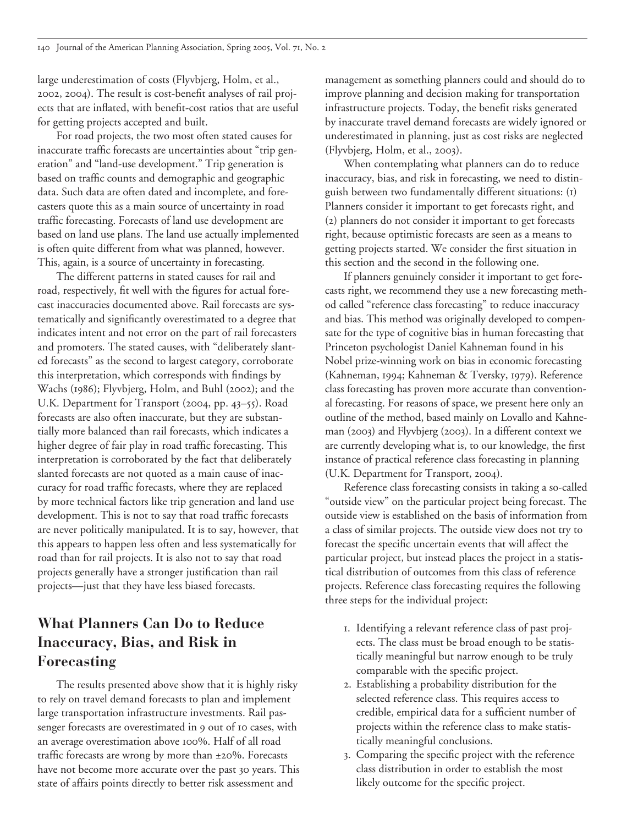large underestimation of costs (Flyvbjerg, Holm, et al., , ). The result is cost-benefit analyses of rail projects that are inflated, with benefit-cost ratios that are useful for getting projects accepted and built.

For road projects, the two most often stated causes for inaccurate traffic forecasts are uncertainties about "trip generation" and "land-use development." Trip generation is based on traffic counts and demographic and geographic data. Such data are often dated and incomplete, and forecasters quote this as a main source of uncertainty in road traffic forecasting. Forecasts of land use development are based on land use plans. The land use actually implemented is often quite different from what was planned, however. This, again, is a source of uncertainty in forecasting.

The different patterns in stated causes for rail and road, respectively, fit well with the figures for actual forecast inaccuracies documented above. Rail forecasts are systematically and significantly overestimated to a degree that indicates intent and not error on the part of rail forecasters and promoters. The stated causes, with "deliberately slanted forecasts" as the second to largest category, corroborate this interpretation, which corresponds with findings by Wachs (1986); Flyvbjerg, Holm, and Buhl (2002); and the U.K. Department for Transport (2004, pp. 43-55). Road forecasts are also often inaccurate, but they are substantially more balanced than rail forecasts, which indicates a higher degree of fair play in road traffic forecasting. This interpretation is corroborated by the fact that deliberately slanted forecasts are not quoted as a main cause of inaccuracy for road traffic forecasts, where they are replaced by more technical factors like trip generation and land use development. This is not to say that road traffic forecasts are never politically manipulated. It is to say, however, that this appears to happen less often and less systematically for road than for rail projects. It is also not to say that road projects generally have a stronger justification than rail projects—just that they have less biased forecasts.

## **What Planners Can Do to Reduce Inaccuracy, Bias, and Risk in Forecasting**

The results presented above show that it is highly risky to rely on travel demand forecasts to plan and implement large transportation infrastructure investments. Rail passenger forecasts are overestimated in 9 out of 10 cases, with an average overestimation above 100%. Half of all road traffic forecasts are wrong by more than  $\pm$ 20%. Forecasts have not become more accurate over the past 30 years. This state of affairs points directly to better risk assessment and

management as something planners could and should do to improve planning and decision making for transportation infrastructure projects. Today, the benefit risks generated by inaccurate travel demand forecasts are widely ignored or underestimated in planning, just as cost risks are neglected (Flyvbjerg, Holm, et al., 2003).

When contemplating what planners can do to reduce inaccuracy, bias, and risk in forecasting, we need to distinguish between two fundamentally different situations: (I) Planners consider it important to get forecasts right, and () planners do not consider it important to get forecasts right, because optimistic forecasts are seen as a means to getting projects started. We consider the first situation in this section and the second in the following one.

If planners genuinely consider it important to get forecasts right, we recommend they use a new forecasting method called "reference class forecasting" to reduce inaccuracy and bias. This method was originally developed to compensate for the type of cognitive bias in human forecasting that Princeton psychologist Daniel Kahneman found in his Nobel prize-winning work on bias in economic forecasting (Kahneman, 1994; Kahneman & Tversky, 1979). Reference class forecasting has proven more accurate than conventional forecasting. For reasons of space, we present here only an outline of the method, based mainly on Lovallo and Kahneman (2003) and Flyvbjerg (2003). In a different context we are currently developing what is, to our knowledge, the first instance of practical reference class forecasting in planning (U.K. Department for Transport, 2004).

Reference class forecasting consists in taking a so-called "outside view" on the particular project being forecast. The outside view is established on the basis of information from a class of similar projects. The outside view does not try to forecast the specific uncertain events that will affect the particular project, but instead places the project in a statistical distribution of outcomes from this class of reference projects. Reference class forecasting requires the following three steps for the individual project:

- . Identifying a relevant reference class of past projects. The class must be broad enough to be statistically meaningful but narrow enough to be truly comparable with the specific project.
- . Establishing a probability distribution for the selected reference class. This requires access to credible, empirical data for a sufficient number of projects within the reference class to make statistically meaningful conclusions.
- . Comparing the specific project with the reference class distribution in order to establish the most likely outcome for the specific project.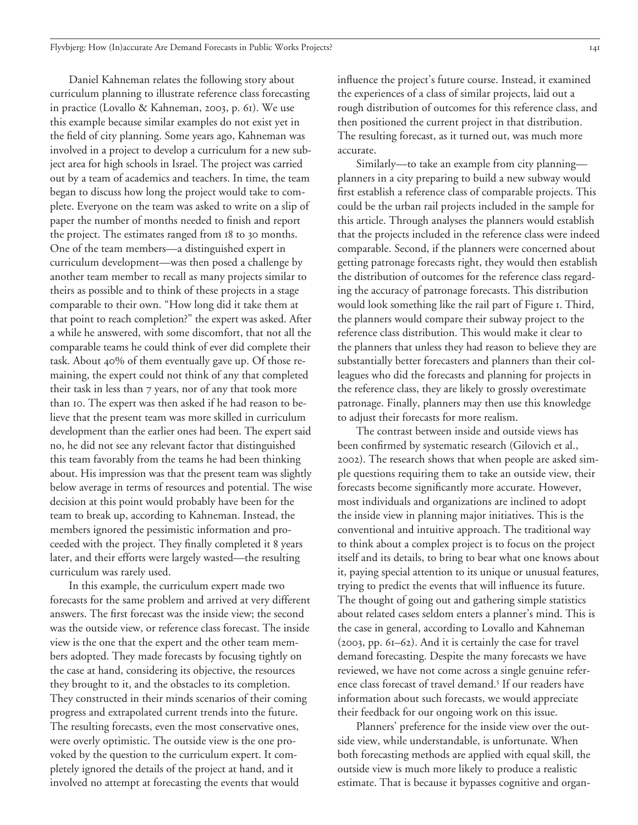Daniel Kahneman relates the following story about curriculum planning to illustrate reference class forecasting in practice (Lovallo & Kahneman, 2003, p. 61). We use this example because similar examples do not exist yet in the field of city planning. Some years ago, Kahneman was involved in a project to develop a curriculum for a new subject area for high schools in Israel. The project was carried out by a team of academics and teachers. In time, the team began to discuss how long the project would take to complete. Everyone on the team was asked to write on a slip of paper the number of months needed to finish and report the project. The estimates ranged from 18 to 30 months. One of the team members—a distinguished expert in curriculum development—was then posed a challenge by another team member to recall as many projects similar to theirs as possible and to think of these projects in a stage comparable to their own. "How long did it take them at that point to reach completion?" the expert was asked. After a while he answered, with some discomfort, that not all the comparable teams he could think of ever did complete their task. About 40% of them eventually gave up. Of those remaining, the expert could not think of any that completed their task in less than 7 years, nor of any that took more than 10. The expert was then asked if he had reason to believe that the present team was more skilled in curriculum development than the earlier ones had been. The expert said no, he did not see any relevant factor that distinguished this team favorably from the teams he had been thinking about. His impression was that the present team was slightly below average in terms of resources and potential. The wise decision at this point would probably have been for the team to break up, according to Kahneman. Instead, the members ignored the pessimistic information and proceeded with the project. They finally completed it 8 years later, and their efforts were largely wasted—the resulting curriculum was rarely used.

In this example, the curriculum expert made two forecasts for the same problem and arrived at very different answers. The first forecast was the inside view; the second was the outside view, or reference class forecast. The inside view is the one that the expert and the other team members adopted. They made forecasts by focusing tightly on the case at hand, considering its objective, the resources they brought to it, and the obstacles to its completion. They constructed in their minds scenarios of their coming progress and extrapolated current trends into the future. The resulting forecasts, even the most conservative ones, were overly optimistic. The outside view is the one provoked by the question to the curriculum expert. It completely ignored the details of the project at hand, and it involved no attempt at forecasting the events that would

influence the project's future course. Instead, it examined the experiences of a class of similar projects, laid out a rough distribution of outcomes for this reference class, and then positioned the current project in that distribution. The resulting forecast, as it turned out, was much more accurate.

Similarly—to take an example from city planning planners in a city preparing to build a new subway would first establish a reference class of comparable projects. This could be the urban rail projects included in the sample for this article. Through analyses the planners would establish that the projects included in the reference class were indeed comparable. Second, if the planners were concerned about getting patronage forecasts right, they would then establish the distribution of outcomes for the reference class regarding the accuracy of patronage forecasts. This distribution would look something like the rail part of Figure 1. Third, the planners would compare their subway project to the reference class distribution. This would make it clear to the planners that unless they had reason to believe they are substantially better forecasters and planners than their colleagues who did the forecasts and planning for projects in the reference class, they are likely to grossly overestimate patronage. Finally, planners may then use this knowledge to adjust their forecasts for more realism.

The contrast between inside and outside views has been confirmed by systematic research (Gilovich et al., ). The research shows that when people are asked simple questions requiring them to take an outside view, their forecasts become significantly more accurate. However, most individuals and organizations are inclined to adopt the inside view in planning major initiatives. This is the conventional and intuitive approach. The traditional way to think about a complex project is to focus on the project itself and its details, to bring to bear what one knows about it, paying special attention to its unique or unusual features, trying to predict the events that will influence its future. The thought of going out and gathering simple statistics about related cases seldom enters a planner's mind. This is the case in general, according to Lovallo and Kahneman  $(2003, pp. 6I–62)$ . And it is certainly the case for travel demand forecasting. Despite the many forecasts we have reviewed, we have not come across a single genuine reference class forecast of travel demand.<sup>5</sup> If our readers have information about such forecasts, we would appreciate their feedback for our ongoing work on this issue.

Planners' preference for the inside view over the outside view, while understandable, is unfortunate. When both forecasting methods are applied with equal skill, the outside view is much more likely to produce a realistic estimate. That is because it bypasses cognitive and organ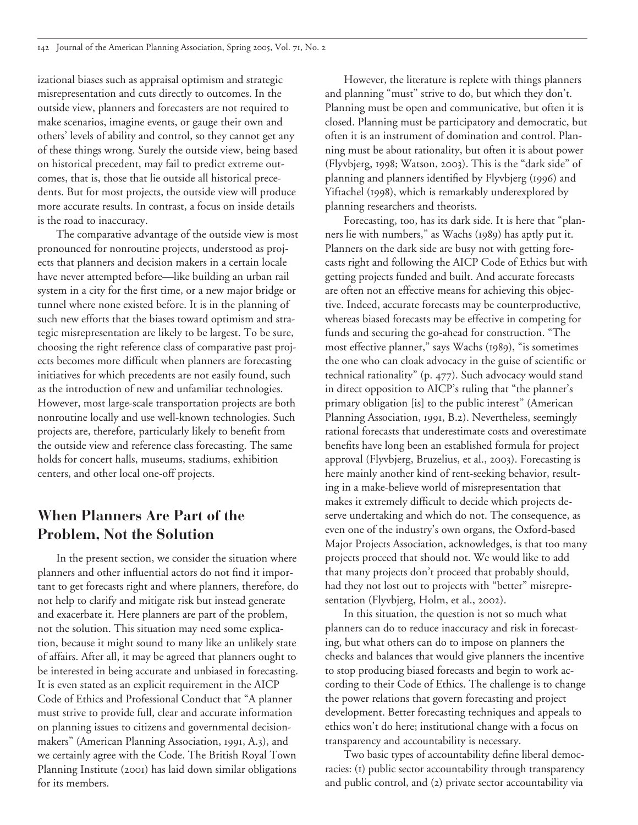izational biases such as appraisal optimism and strategic misrepresentation and cuts directly to outcomes. In the outside view, planners and forecasters are not required to make scenarios, imagine events, or gauge their own and others' levels of ability and control, so they cannot get any of these things wrong. Surely the outside view, being based on historical precedent, may fail to predict extreme outcomes, that is, those that lie outside all historical precedents. But for most projects, the outside view will produce more accurate results. In contrast, a focus on inside details is the road to inaccuracy.

The comparative advantage of the outside view is most pronounced for nonroutine projects, understood as projects that planners and decision makers in a certain locale have never attempted before—like building an urban rail system in a city for the first time, or a new major bridge or tunnel where none existed before. It is in the planning of such new efforts that the biases toward optimism and strategic misrepresentation are likely to be largest. To be sure, choosing the right reference class of comparative past projects becomes more difficult when planners are forecasting initiatives for which precedents are not easily found, such as the introduction of new and unfamiliar technologies. However, most large-scale transportation projects are both nonroutine locally and use well-known technologies. Such projects are, therefore, particularly likely to benefit from the outside view and reference class forecasting. The same holds for concert halls, museums, stadiums, exhibition centers, and other local one-off projects.

### **When Planners Are Part of the Problem, Not the Solution**

In the present section, we consider the situation where planners and other influential actors do not find it important to get forecasts right and where planners, therefore, do not help to clarify and mitigate risk but instead generate and exacerbate it. Here planners are part of the problem, not the solution. This situation may need some explication, because it might sound to many like an unlikely state of affairs. After all, it may be agreed that planners ought to be interested in being accurate and unbiased in forecasting. It is even stated as an explicit requirement in the AICP Code of Ethics and Professional Conduct that "A planner must strive to provide full, clear and accurate information on planning issues to citizens and governmental decisionmakers" (American Planning Association, 1991, A.3), and we certainly agree with the Code. The British Royal Town Planning Institute (2001) has laid down similar obligations for its members.

However, the literature is replete with things planners and planning "must" strive to do, but which they don't. Planning must be open and communicative, but often it is closed. Planning must be participatory and democratic, but often it is an instrument of domination and control. Planning must be about rationality, but often it is about power (Flyvbjerg, 1998; Watson, 2003). This is the "dark side" of planning and planners identified by Flyvbjerg (1996) and Yiftachel (1998), which is remarkably underexplored by planning researchers and theorists.

Forecasting, too, has its dark side. It is here that "planners lie with numbers," as Wachs (1989) has aptly put it. Planners on the dark side are busy not with getting forecasts right and following the AICP Code of Ethics but with getting projects funded and built. And accurate forecasts are often not an effective means for achieving this objective. Indeed, accurate forecasts may be counterproductive, whereas biased forecasts may be effective in competing for funds and securing the go-ahead for construction. "The most effective planner," says Wachs (1989), "is sometimes the one who can cloak advocacy in the guise of scientific or technical rationality" (p.  $477$ ). Such advocacy would stand in direct opposition to AICP's ruling that "the planner's primary obligation [is] to the public interest" (American Planning Association, 1991, B.2). Nevertheless, seemingly rational forecasts that underestimate costs and overestimate benefits have long been an established formula for project approval (Flyvbjerg, Bruzelius, et al., 2003). Forecasting is here mainly another kind of rent-seeking behavior, resulting in a make-believe world of misrepresentation that makes it extremely difficult to decide which projects deserve undertaking and which do not. The consequence, as even one of the industry's own organs, the Oxford-based Major Projects Association, acknowledges, is that too many projects proceed that should not. We would like to add that many projects don't proceed that probably should, had they not lost out to projects with "better" misrepresentation (Flyvbjerg, Holm, et al., 2002).

In this situation, the question is not so much what planners can do to reduce inaccuracy and risk in forecasting, but what others can do to impose on planners the checks and balances that would give planners the incentive to stop producing biased forecasts and begin to work according to their Code of Ethics. The challenge is to change the power relations that govern forecasting and project development. Better forecasting techniques and appeals to ethics won't do here; institutional change with a focus on transparency and accountability is necessary.

Two basic types of accountability define liberal democracies: (1) public sector accountability through transparency and public control, and  $(2)$  private sector accountability via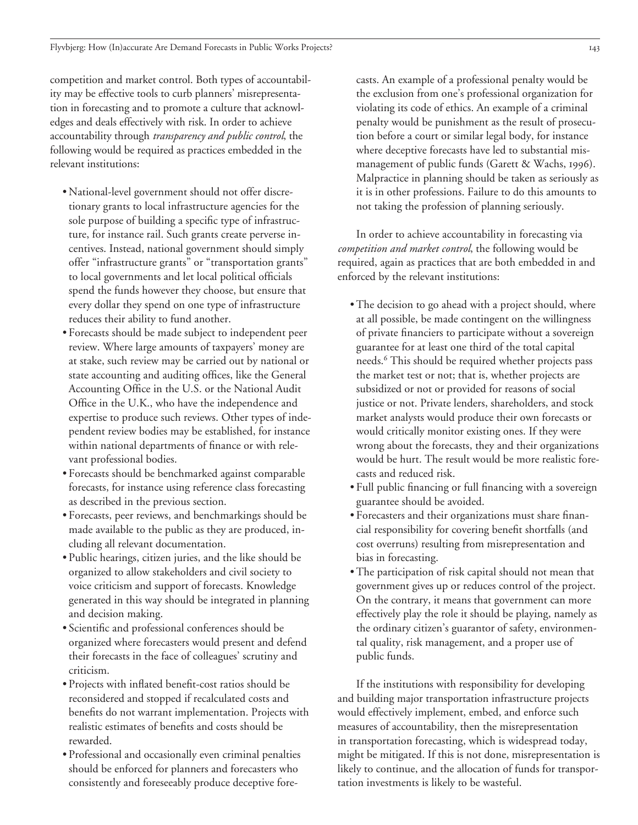competition and market control. Both types of accountability may be effective tools to curb planners' misrepresentation in forecasting and to promote a culture that acknowledges and deals effectively with risk. In order to achieve accountability through *transparency and public control*, the following would be required as practices embedded in the relevant institutions:

- National-level government should not offer discretionary grants to local infrastructure agencies for the sole purpose of building a specific type of infrastructure, for instance rail. Such grants create perverse incentives. Instead, national government should simply offer "infrastructure grants" or "transportation grants" to local governments and let local political officials spend the funds however they choose, but ensure that every dollar they spend on one type of infrastructure reduces their ability to fund another.
- Forecasts should be made subject to independent peer review. Where large amounts of taxpayers' money are at stake, such review may be carried out by national or state accounting and auditing offices, like the General Accounting Office in the U.S. or the National Audit Office in the U.K., who have the independence and expertise to produce such reviews. Other types of independent review bodies may be established, for instance within national departments of finance or with relevant professional bodies.
- Forecasts should be benchmarked against comparable forecasts, for instance using reference class forecasting as described in the previous section.
- Forecasts, peer reviews, and benchmarkings should be made available to the public as they are produced, including all relevant documentation.
- Public hearings, citizen juries, and the like should be organized to allow stakeholders and civil society to voice criticism and support of forecasts. Knowledge generated in this way should be integrated in planning and decision making.
- Scientific and professional conferences should be organized where forecasters would present and defend their forecasts in the face of colleagues' scrutiny and criticism.
- Projects with inflated benefit-cost ratios should be reconsidered and stopped if recalculated costs and benefits do not warrant implementation. Projects with realistic estimates of benefits and costs should be rewarded.
- Professional and occasionally even criminal penalties should be enforced for planners and forecasters who consistently and foreseeably produce deceptive fore-

casts. An example of a professional penalty would be the exclusion from one's professional organization for violating its code of ethics. An example of a criminal penalty would be punishment as the result of prosecution before a court or similar legal body, for instance where deceptive forecasts have led to substantial mismanagement of public funds (Garett & Wachs, 1996). Malpractice in planning should be taken as seriously as it is in other professions. Failure to do this amounts to not taking the profession of planning seriously.

In order to achieve accountability in forecasting via *competition and market control*, the following would be required, again as practices that are both embedded in and enforced by the relevant institutions:

- The decision to go ahead with a project should, where at all possible, be made contingent on the willingness of private financiers to participate without a sovereign guarantee for at least one third of the total capital needs.<sup>6</sup> This should be required whether projects pass the market test or not; that is, whether projects are subsidized or not or provided for reasons of social justice or not. Private lenders, shareholders, and stock market analysts would produce their own forecasts or would critically monitor existing ones. If they were wrong about the forecasts, they and their organizations would be hurt. The result would be more realistic forecasts and reduced risk.
- Full public financing or full financing with a sovereign guarantee should be avoided.
- Forecasters and their organizations must share financial responsibility for covering benefit shortfalls (and cost overruns) resulting from misrepresentation and bias in forecasting.
- •The participation of risk capital should not mean that government gives up or reduces control of the project. On the contrary, it means that government can more effectively play the role it should be playing, namely as the ordinary citizen's guarantor of safety, environmental quality, risk management, and a proper use of public funds.

If the institutions with responsibility for developing and building major transportation infrastructure projects would effectively implement, embed, and enforce such measures of accountability, then the misrepresentation in transportation forecasting, which is widespread today, might be mitigated. If this is not done, misrepresentation is likely to continue, and the allocation of funds for transportation investments is likely to be wasteful.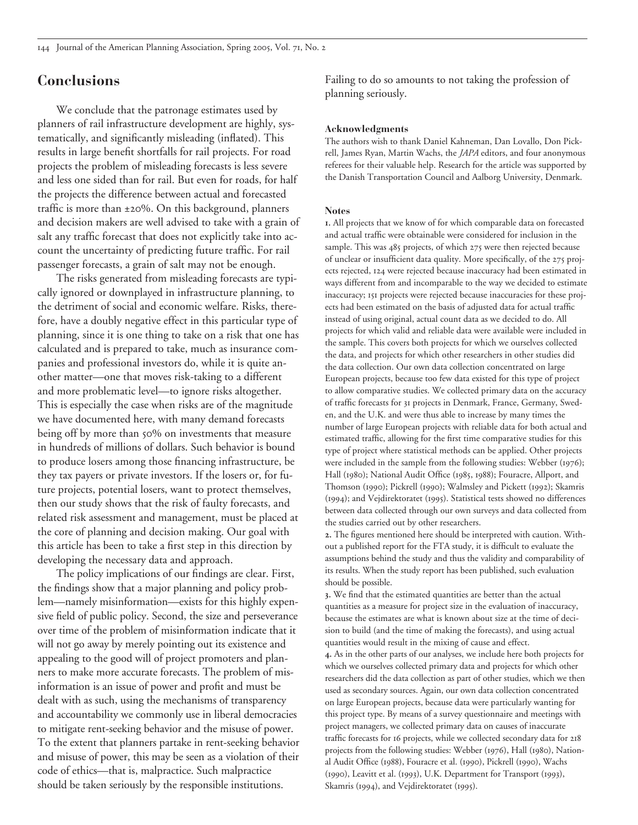### **Conclusions**

We conclude that the patronage estimates used by planners of rail infrastructure development are highly, systematically, and significantly misleading (inflated). This results in large benefit shortfalls for rail projects. For road projects the problem of misleading forecasts is less severe and less one sided than for rail. But even for roads, for half the projects the difference between actual and forecasted traffic is more than  $\pm$ 20%. On this background, planners and decision makers are well advised to take with a grain of salt any traffic forecast that does not explicitly take into account the uncertainty of predicting future traffic. For rail passenger forecasts, a grain of salt may not be enough.

The risks generated from misleading forecasts are typically ignored or downplayed in infrastructure planning, to the detriment of social and economic welfare. Risks, therefore, have a doubly negative effect in this particular type of planning, since it is one thing to take on a risk that one has calculated and is prepared to take, much as insurance companies and professional investors do, while it is quite another matter—one that moves risk-taking to a different and more problematic level—to ignore risks altogether. This is especially the case when risks are of the magnitude we have documented here, with many demand forecasts being off by more than 50% on investments that measure in hundreds of millions of dollars. Such behavior is bound to produce losers among those financing infrastructure, be they tax payers or private investors. If the losers or, for future projects, potential losers, want to protect themselves, then our study shows that the risk of faulty forecasts, and related risk assessment and management, must be placed at the core of planning and decision making. Our goal with this article has been to take a first step in this direction by developing the necessary data and approach.

The policy implications of our findings are clear. First, the findings show that a major planning and policy problem—namely misinformation—exists for this highly expensive field of public policy. Second, the size and perseverance over time of the problem of misinformation indicate that it will not go away by merely pointing out its existence and appealing to the good will of project promoters and planners to make more accurate forecasts. The problem of misinformation is an issue of power and profit and must be dealt with as such, using the mechanisms of transparency and accountability we commonly use in liberal democracies to mitigate rent-seeking behavior and the misuse of power. To the extent that planners partake in rent-seeking behavior and misuse of power, this may be seen as a violation of their code of ethics—that is, malpractice. Such malpractice should be taken seriously by the responsible institutions.

Failing to do so amounts to not taking the profession of planning seriously.

#### **Acknowledgments**

The authors wish to thank Daniel Kahneman, Dan Lovallo, Don Pickrell, James Ryan, Martin Wachs, the *JAPA* editors, and four anonymous referees for their valuable help. Research for the article was supported by the Danish Transportation Council and Aalborg University, Denmark.

#### **Notes**

**.** All projects that we know of for which comparable data on forecasted and actual traffic were obtainable were considered for inclusion in the sample. This was 485 projects, of which 275 were then rejected because of unclear or insufficient data quality. More specifically, of the 275 projects rejected, 124 were rejected because inaccuracy had been estimated in ways different from and incomparable to the way we decided to estimate inaccuracy; 151 projects were rejected because inaccuracies for these projects had been estimated on the basis of adjusted data for actual traffic instead of using original, actual count data as we decided to do. All projects for which valid and reliable data were available were included in the sample. This covers both projects for which we ourselves collected the data, and projects for which other researchers in other studies did the data collection. Our own data collection concentrated on large European projects, because too few data existed for this type of project to allow comparative studies. We collected primary data on the accuracy of traffic forecasts for 31 projects in Denmark, France, Germany, Sweden, and the U.K. and were thus able to increase by many times the number of large European projects with reliable data for both actual and estimated traffic, allowing for the first time comparative studies for this type of project where statistical methods can be applied. Other projects were included in the sample from the following studies: Webber (1976); Hall (1980); National Audit Office (1985, 1988); Fouracre, Allport, and Thomson (1990); Pickrell (1990); Walmsley and Pickett (1992); Skamris (1994); and Vejdirektoratet (1995). Statistical tests showed no differences between data collected through our own surveys and data collected from the studies carried out by other researchers.

**.** The figures mentioned here should be interpreted with caution. Without a published report for the FTA study, it is difficult to evaluate the assumptions behind the study and thus the validity and comparability of its results. When the study report has been published, such evaluation should be possible.

**.** We find that the estimated quantities are better than the actual quantities as a measure for project size in the evaluation of inaccuracy, because the estimates are what is known about size at the time of decision to build (and the time of making the forecasts), and using actual quantities would result in the mixing of cause and effect. **.** As in the other parts of our analyses, we include here both projects for which we ourselves collected primary data and projects for which other researchers did the data collection as part of other studies, which we then used as secondary sources. Again, our own data collection concentrated on large European projects, because data were particularly wanting for this project type. By means of a survey questionnaire and meetings with project managers, we collected primary data on causes of inaccurate traffic forecasts for 16 projects, while we collected secondary data for 218 projects from the following studies: Webber (1976), Hall (1980), National Audit Office (1988), Fouracre et al. (1990), Pickrell (1990), Wachs (1990), Leavitt et al. (1993), U.K. Department for Transport (1993), Skamris (1994), and Vejdirektoratet (1995).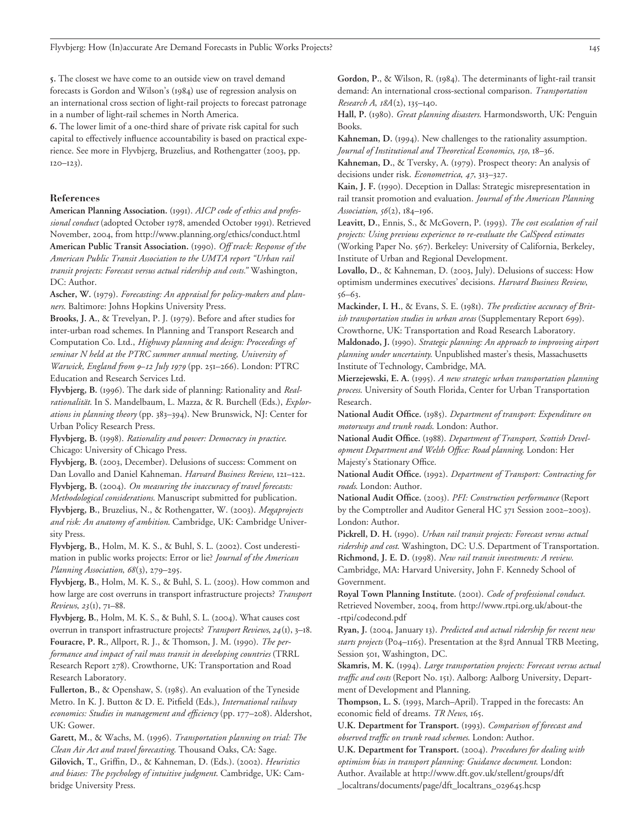**.** The closest we have come to an outside view on travel demand forecasts is Gordon and Wilson's (1984) use of regression analysis on an international cross section of light-rail projects to forecast patronage in a number of light-rail schemes in North America.

**.** The lower limit of a one-third share of private risk capital for such capital to effectively influence accountability is based on practical experience. See more in Flyvbjerg, Bruzelius, and Rothengatter (2003, pp.  $120 - 123$ ).

#### **References**

American Planning Association. (1991). *AICP code of ethics and profes*sional conduct (adopted October 1978, amended October 1991). Retrieved November, 2004, from http://www.planning.org/ethics/conduct.html American Public Transit Association. (1990). Off track: Response of the *American Public Transit Association to the UMTA report "Urban rail transit projects: Forecast versus actual ridership and costs."* Washington, DC: Author.

Ascher, W. (1979). Forecasting: An appraisal for policy-makers and plan*ners*. Baltimore: Johns Hopkins University Press.

Brooks, J. A., & Trevelyan, P. J. (1979). Before and after studies for inter-urban road schemes. In Planning and Transport Research and Computation Co. Ltd., *Highway planning and design: Proceedings of seminar N held at the PTRC summer annual meeting, University of Warwick, England from 9-12 July 1979* (pp. 251-266). London: PTRC Education and Research Services Ltd.

Flyvbjerg, B. (1996). The dark side of planning: Rationality and *Realrationalität*. In S. Mandelbaum, L. Mazza, & R. Burchell (Eds.), *Explorations in planning theory* (pp. 383-394). New Brunswick, NJ: Center for Urban Policy Research Press.

Flyvbjerg, B. (1998). *Rationality and power: Democracy in practice*. Chicago: University of Chicago Press.

Flyvbjerg, B. (2003, December). Delusions of success: Comment on Dan Lovallo and Daniel Kahneman. *Harvard Business Review*, 121-122. Flyvbjerg, B. (2004). *On measuring the inaccuracy of travel forecasts: Methodological considerations*. Manuscript submitted for publication.

Flyvbjerg, B., Bruzelius, N., & Rothengatter, W. (2003). *Megaprojects and risk: An anatomy of ambition*. Cambridge, UK: Cambridge University Press.

Flyvbjerg, B., Holm, M. K. S., & Buhl, S. L. (2002). Cost underestimation in public works projects: Error or lie? *Journal of the American Planning Association*, 68(3), 279-295.

Flyvbjerg, B., Holm, M. K. S., & Buhl, S. L. (2003). How common and how large are cost overruns in transport infrastructure projects? *Transport Reviews*, 23(1), 71-88.

Flyvbjerg, B., Holm, M. K. S., & Buhl, S. L. (2004). What causes cost overrun in transport infrastructure projects? *Transport Reviews*, 24(1), 3-18. Fouracre, P. R., Allport, R. J., & Thomson, J. M. (1990). The per-

*formance and impact of rail mass transit in developing countries* (TRRL Research Report 278). Crowthorne, UK: Transportation and Road Research Laboratory.

Fullerton, B., & Openshaw, S. (1985). An evaluation of the Tyneside Metro. In K. J. Button & D. E. Pitfield (Eds.), *International railway economics: Studies in management and efficiency* (pp. 177–208). Aldershot, UK: Gower.

Garett, M., & Wachs, M. (1996). *Transportation planning on trial: The Clean Air Act and travel forecasting*. Thousand Oaks, CA: Sage.

Gilovich, T., Griffin, D., & Kahneman, D. (Eds.). (2002). *Heuristics and biases: The psychology of intuitive judgment*. Cambridge, UK: Cambridge University Press.

Gordon, P., & Wilson, R. (1984). The determinants of light-rail transit demand: An international cross-sectional comparison. *Transportation Research A, 18A*(2), 135-140.

Hall, P. (1980). *Great planning disasters*. Harmondsworth, UK: Penguin Books.

Kahneman, D. (1994). New challenges to the rationality assumption. *Journal of Institutional and Theoretical Economics*, 150, 18–36.

Kahneman, D., & Tversky, A. (1979). Prospect theory: An analysis of decisions under risk. *Econometrica*, 47, 313-327.

Kain, J. F. (1990). Deception in Dallas: Strategic misrepresentation in rail transit promotion and evaluation. *Journal of the American Planning* Association, 56(2), 184-196.

Leavitt, D., Ennis, S., & McGovern, P. (1993). The cost escalation of rail *projects: Using previous experience to re-evaluate the CalSpeed estimates* (Working Paper No. 567). Berkeley: University of California, Berkeley, Institute of Urban and Regional Development.

Lovallo, D., & Kahneman, D. (2003, July). Delusions of success: How optimism undermines executives' decisions. *Harvard Business Review*,  $56 - 63.$ 

Mackinder, I. H., & Evans, S. E. (1981). *The predictive accuracy of British transportation studies in urban areas* (Supplementary Report 699). Crowthorne, UK: Transportation and Road Research Laboratory.

Maldonado, J. (1990). *Strategic planning: An approach to improving airport planning under uncertainty*. Unpublished master's thesis, Massachusetts Institute of Technology, Cambridge, MA.

Mierzejewski, E. A. (1995). A new strategic urban transportation planning *process*. University of South Florida, Center for Urban Transportation Research.

National Audit Office. (1985). *Department of transport: Expenditure on motorways and trunk roads*. London: Author.

National Audit Office. (1988). *Department of Transport, Scottish Development Department and Welsh Office: Road planning*. London: Her Majesty's Stationary Office.

National Audit Office. (1992). *Department of Transport: Contracting for roads*. London: Author.

**National Audit Office.** (2003). *PFI: Construction performance* (Report by the Comptroller and Auditor General HC 371 Session 2002-2003). London: Author.

Pickrell, D. H. (1990). *Urban rail transit projects: Forecast versus actual ridership and cost*. Washington, DC: U.S. Department of Transportation. **Richmond, J. E. D.** (). *New rail transit investments: A review*. Cambridge, MA: Harvard University, John F. Kennedy School of Government.

Royal Town Planning Institute. (2001). *Code of professional conduct*. Retrieved November, 2004, from http://www.rtpi.org.uk/about-the -rtpi/codecond.pdf

Ryan, J. (2004, January 13). *Predicted and actual ridership for recent new* starts projects (P04-1165). Presentation at the 83rd Annual TRB Meeting, Session 501, Washington, DC.

Skamris, M. K. (1994). *Large transportation projects: Forecast versus actual* traffic and costs (Report No. 151). Aalborg: Aalborg University, Department of Development and Planning.

Thompson, L. S. (1993, March–April). Trapped in the forecasts: An economic field of dreams. *TR News*, 165.

U.K. Department for Transport. (1993). *Comparison of forecast and observed traffic on trunk road schemes*. London: Author.

U.K. Department for Transport. (2004). *Procedures for dealing with optimism bias in transport planning: Guidance document*. London: Author. Available at http://www.dft.gov.uk/stellent/groups/dft \_localtrans/documents/page/dft\_localtrans\_029645.hcsp